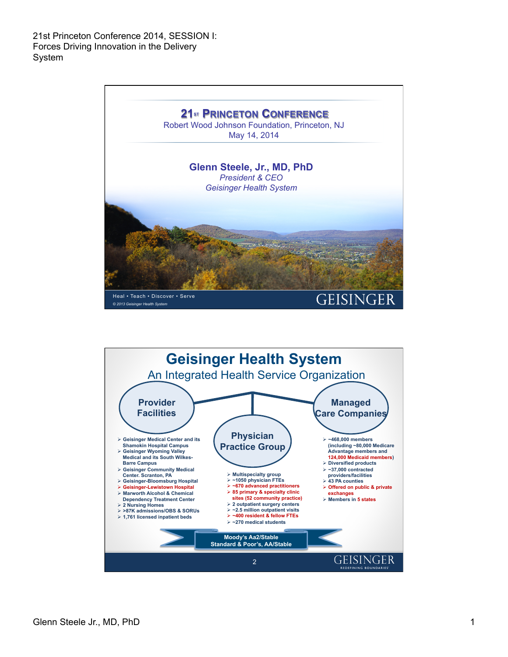

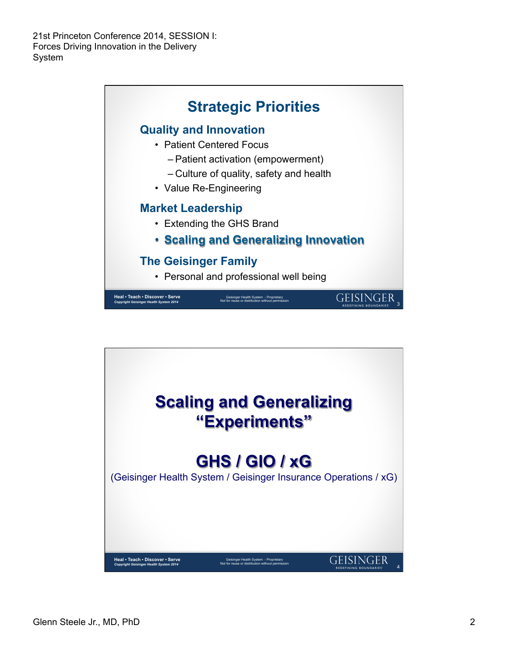

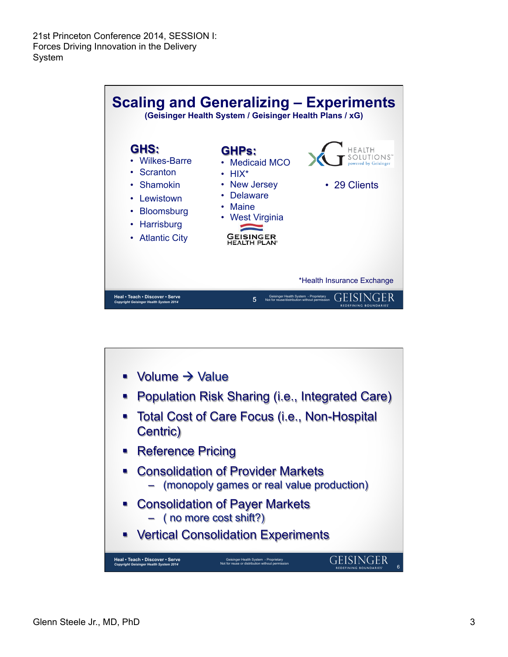

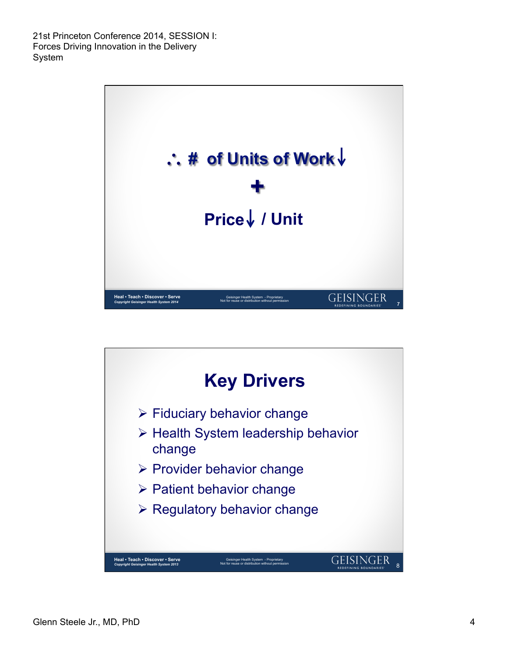